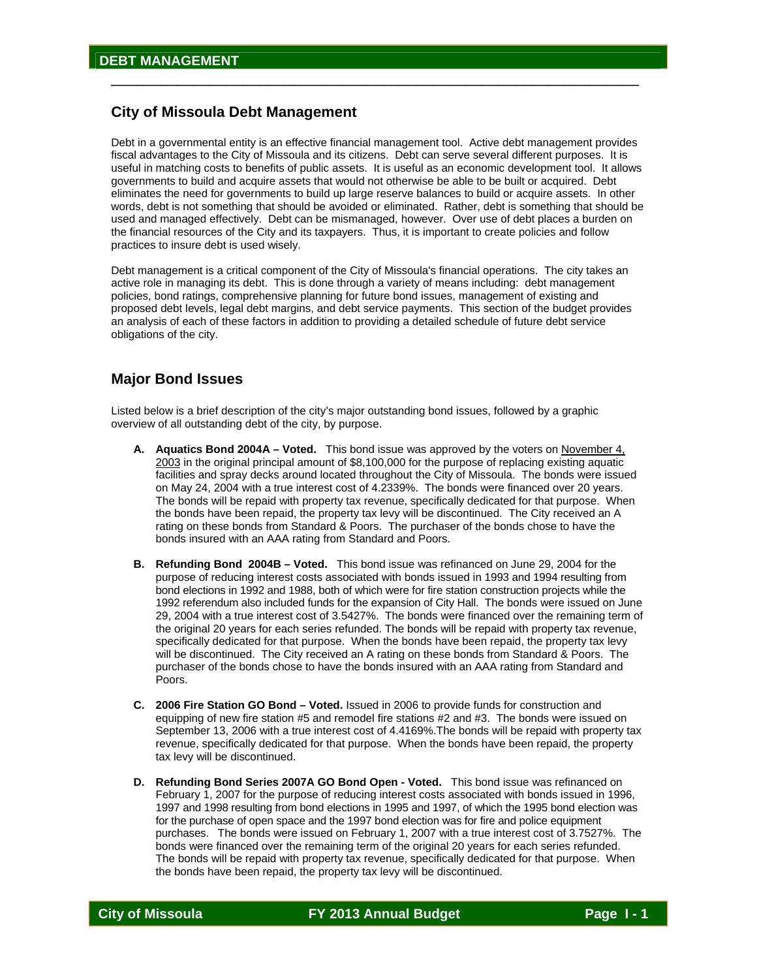## **City of Missoula Debt Management**

Debt in a governmental entity is an effective financial management tool. Active debt management provides fiscal advantages to the City of Missoula and its citizens. Debt can serve several different purposes. It is useful in matching costs to benefits of public assets. It is useful as an economic development tool. It allows governments to build and acquire assets that would not otherwise be able to be built or acquired. Debt eliminates the need for governments to build up large reserve balances to build or acquire assets. In other words, debt is not something that should be avoided or eliminated. Rather, debt is something that should be used and managed effectively. Debt can be mismanaged, however. Over use of debt places a burden on the financial resources of the City and its taxpayers. Thus, it is important to create policies and follow practices to insure debt is used wisely.

\_\_\_\_\_\_\_\_\_\_\_\_\_\_\_\_\_\_\_\_\_\_\_\_\_\_\_\_\_\_\_\_\_\_\_\_\_\_\_\_\_\_\_\_\_\_\_\_\_\_\_\_\_\_\_\_\_\_\_\_\_\_\_\_

Debt management is a critical component of the City of Missoula's financial operations. The city takes an active role in managing its debt. This is done through a variety of means including: debt management policies, bond ratings, comprehensive planning for future bond issues, management of existing and proposed debt levels, legal debt margins, and debt service payments. This section of the budget provides an analysis of each of these factors in addition to providing a detailed schedule of future debt service obligations of the city.

## **Major Bond Issues**

Listed below is a brief description of the city's major outstanding bond issues, followed by a graphic overview of all outstanding debt of the city, by purpose.

- **A. Aquatics Bond 2004A Voted.** This bond issue was approved by the voters on November 4, 2003 in the original principal amount of \$8,100,000 for the purpose of replacing existing aquatic facilities and spray decks around located throughout the City of Missoula. The bonds were issued on May 24, 2004 with a true interest cost of 4.2339%. The bonds were financed over 20 years. The bonds will be repaid with property tax revenue, specifically dedicated for that purpose. When the bonds have been repaid, the property tax levy will be discontinued. The City received an A rating on these bonds from Standard & Poors. The purchaser of the bonds chose to have the bonds insured with an AAA rating from Standard and Poors.
- **B. Refunding Bond 2004B Voted.** This bond issue was refinanced on June 29, 2004 for the purpose of reducing interest costs associated with bonds issued in 1993 and 1994 resulting from bond elections in 1992 and 1988, both of which were for fire station construction projects while the 1992 referendum also included funds for the expansion of City Hall. The bonds were issued on June 29, 2004 with a true interest cost of 3.5427%. The bonds were financed over the remaining term of the original 20 years for each series refunded. The bonds will be repaid with property tax revenue, specifically dedicated for that purpose. When the bonds have been repaid, the property tax levy will be discontinued. The City received an A rating on these bonds from Standard & Poors. The purchaser of the bonds chose to have the bonds insured with an AAA rating from Standard and Poors.
- **C. 2006 Fire Station GO Bond Voted.** Issued in 2006 to provide funds for construction and equipping of new fire station #5 and remodel fire stations #2 and #3. The bonds were issued on September 13, 2006 with a true interest cost of 4.4169%.The bonds will be repaid with property tax revenue, specifically dedicated for that purpose. When the bonds have been repaid, the property tax levy will be discontinued.
- **D. Refunding Bond Series 2007A GO Bond Open Voted.** This bond issue was refinanced on February 1, 2007 for the purpose of reducing interest costs associated with bonds issued in 1996, 1997 and 1998 resulting from bond elections in 1995 and 1997, of which the 1995 bond election was for the purchase of open space and the 1997 bond election was for fire and police equipment purchases. The bonds were issued on February 1, 2007 with a true interest cost of 3.7527%. The bonds were financed over the remaining term of the original 20 years for each series refunded. The bonds will be repaid with property tax revenue, specifically dedicated for that purpose. When the bonds have been repaid, the property tax levy will be discontinued.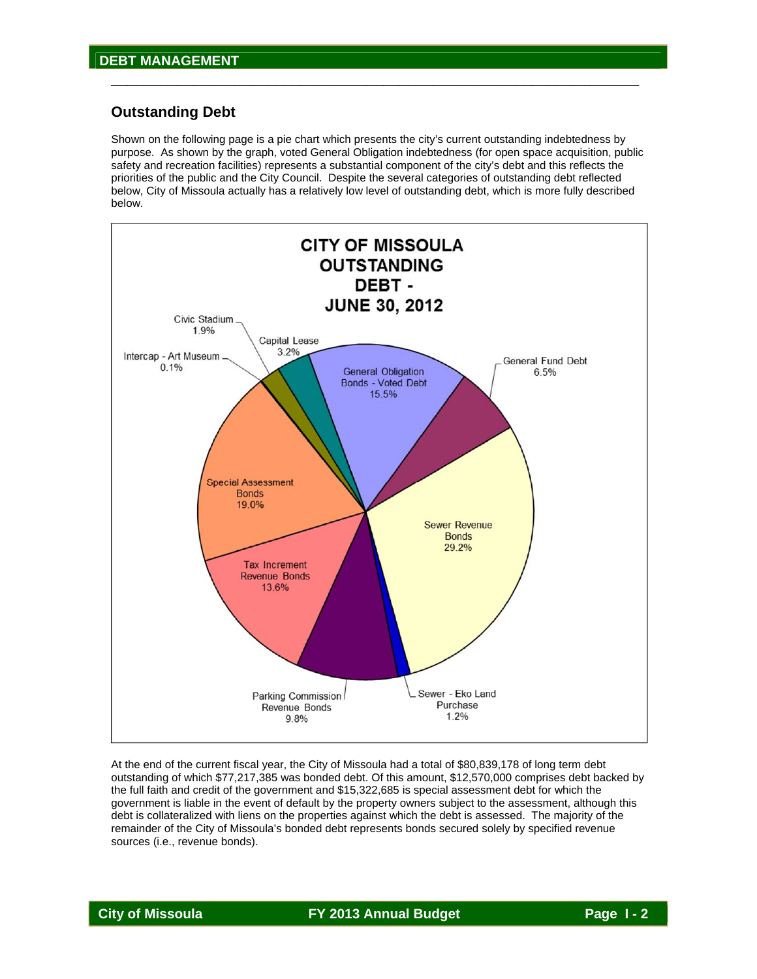## **Outstanding Debt**

Shown on the following page is a pie chart which presents the city's current outstanding indebtedness by purpose. As shown by the graph, voted General Obligation indebtedness (for open space acquisition, public safety and recreation facilities) represents a substantial component of the city's debt and this reflects the priorities of the public and the City Council. Despite the several categories of outstanding debt reflected below, City of Missoula actually has a relatively low level of outstanding debt, which is more fully described below.

\_\_\_\_\_\_\_\_\_\_\_\_\_\_\_\_\_\_\_\_\_\_\_\_\_\_\_\_\_\_\_\_\_\_\_\_\_\_\_\_\_\_\_\_\_\_\_\_\_\_\_\_\_\_\_\_\_\_\_\_\_\_\_\_



At the end of the current fiscal year, the City of Missoula had a total of \$80,839,178 of long term debt outstanding of which \$77,217,385 was bonded debt. Of this amount, \$12,570,000 comprises debt backed by the full faith and credit of the government and \$15,322,685 is special assessment debt for which the government is liable in the event of default by the property owners subject to the assessment, although this debt is collateralized with liens on the properties against which the debt is assessed. The majority of the remainder of the City of Missoula's bonded debt represents bonds secured solely by specified revenue sources (i.e., revenue bonds).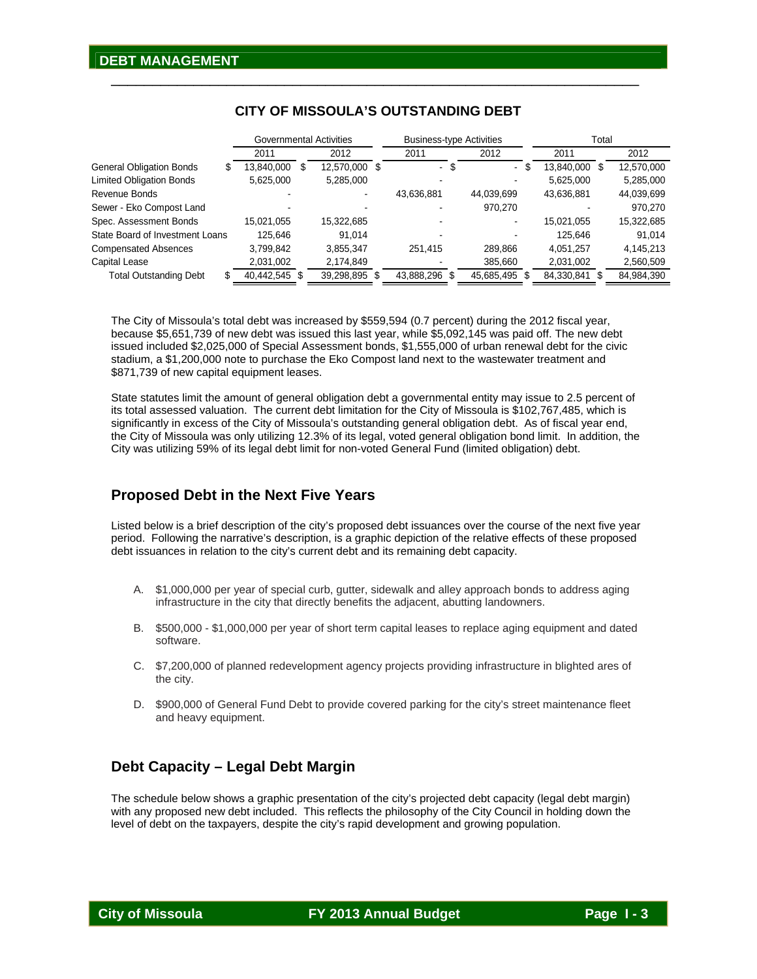|                                 | Governmental Activities |   |               | <b>Business-type Activities</b> |                        | Total             |            |  |  |
|---------------------------------|-------------------------|---|---------------|---------------------------------|------------------------|-------------------|------------|--|--|
|                                 | 2011                    |   | 2012          | 2011                            | 2012                   | 2011              | 2012       |  |  |
| <b>General Obligation Bonds</b> | 13,840,000              | S | 12,570,000 \$ | -\$<br>۰,                       | - \$<br>$\blacksquare$ | 13,840,000<br>\$. | 12,570,000 |  |  |
| <b>Limited Obligation Bonds</b> | 5,625,000               |   | 5,285,000     |                                 |                        | 5.625.000         | 5,285,000  |  |  |
| Revenue Bonds                   |                         |   |               | 43.636.881                      | 44.039.699             | 43.636.881        | 44,039,699 |  |  |
| Sewer - Eko Compost Land        |                         |   |               |                                 | 970,270                |                   | 970,270    |  |  |
| Spec. Assessment Bonds          | 15,021,055              |   | 15.322.685    |                                 | -                      | 15.021.055        | 15,322,685 |  |  |
| State Board of Investment Loans | 125.646                 |   | 91.014        |                                 |                        | 125.646           | 91.014     |  |  |
| <b>Compensated Absences</b>     | 3,799,842               |   | 3,855,347     | 251.415                         | 289.866                | 4.051.257         | 4.145.213  |  |  |
| Capital Lease                   | 2,031,002               |   | 2,174,849     |                                 | 385.660                | 2,031,002         | 2,560,509  |  |  |
| <b>Total Outstanding Debt</b>   | 40.442.545 \$           |   | 39,298,895 \$ | 43,888,296<br>-S                | 45,685,495             | 84,330,841        | 84,984,390 |  |  |

### **CITY OF MISSOULA'S OUTSTANDING DEBT**

\_\_\_\_\_\_\_\_\_\_\_\_\_\_\_\_\_\_\_\_\_\_\_\_\_\_\_\_\_\_\_\_\_\_\_\_\_\_\_\_\_\_\_\_\_\_\_\_\_\_\_\_\_\_\_\_\_\_\_\_\_\_\_\_

The City of Missoula's total debt was increased by \$559,594 (0.7 percent) during the 2012 fiscal year, because \$5,651,739 of new debt was issued this last year, while \$5,092,145 was paid off. The new debt issued included \$2,025,000 of Special Assessment bonds, \$1,555,000 of urban renewal debt for the civic stadium, a \$1,200,000 note to purchase the Eko Compost land next to the wastewater treatment and \$871,739 of new capital equipment leases.

State statutes limit the amount of general obligation debt a governmental entity may issue to 2.5 percent of its total assessed valuation. The current debt limitation for the City of Missoula is \$102,767,485, which is significantly in excess of the City of Missoula's outstanding general obligation debt. As of fiscal year end, the City of Missoula was only utilizing 12.3% of its legal, voted general obligation bond limit. In addition, the City was utilizing 59% of its legal debt limit for non-voted General Fund (limited obligation) debt.

## **Proposed Debt in the Next Five Years**

Listed below is a brief description of the city's proposed debt issuances over the course of the next five year period. Following the narrative's description, is a graphic depiction of the relative effects of these proposed debt issuances in relation to the city's current debt and its remaining debt capacity.

- A. \$1,000,000 per year of special curb, gutter, sidewalk and alley approach bonds to address aging infrastructure in the city that directly benefits the adjacent, abutting landowners.
- B. \$500,000 \$1,000,000 per year of short term capital leases to replace aging equipment and dated software.
- C. \$7,200,000 of planned redevelopment agency projects providing infrastructure in blighted ares of the city.
- D. \$900,000 of General Fund Debt to provide covered parking for the city's street maintenance fleet and heavy equipment.

## **Debt Capacity – Legal Debt Margin**

The schedule below shows a graphic presentation of the city's projected debt capacity (legal debt margin) with any proposed new debt included. This reflects the philosophy of the City Council in holding down the level of debt on the taxpayers, despite the city's rapid development and growing population.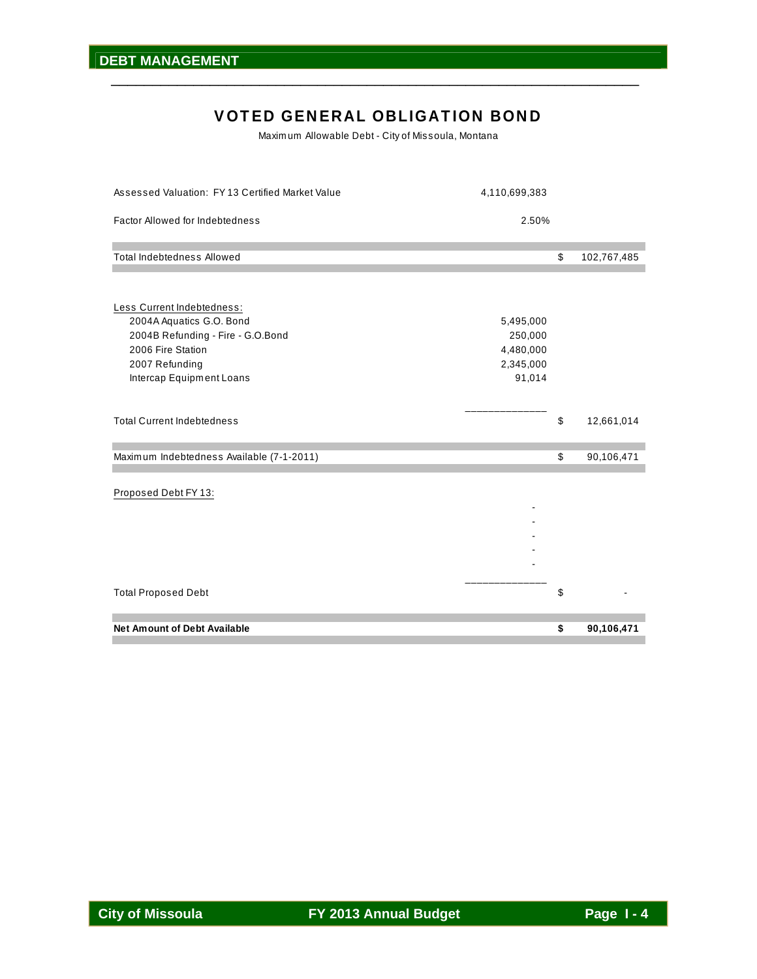## VOTED GENERAL OBLIGATION BOND

\_\_\_\_\_\_\_\_\_\_\_\_\_\_\_\_\_\_\_\_\_\_\_\_\_\_\_\_\_\_\_\_\_\_\_\_\_\_\_\_\_\_\_\_\_\_\_\_\_\_\_\_\_\_\_\_\_\_\_\_\_\_\_\_

Maxim um Allowable Debt - City of Missoula, Montana

| Assessed Valuation: FY 13 Certified Market Value                                                                                                               | 4,110,699,383                                            |                   |
|----------------------------------------------------------------------------------------------------------------------------------------------------------------|----------------------------------------------------------|-------------------|
| Factor Allowed for Indebtedness                                                                                                                                | 2.50%                                                    |                   |
| <b>Total Indebtedness Allowed</b>                                                                                                                              |                                                          | \$<br>102,767,485 |
|                                                                                                                                                                |                                                          |                   |
| Less Current Indebtedness:<br>2004A Aquatics G.O. Bond<br>2004B Refunding - Fire - G.O.Bond<br>2006 Fire Station<br>2007 Refunding<br>Intercap Equipment Loans | 5,495,000<br>250,000<br>4,480,000<br>2,345,000<br>91,014 |                   |
| <b>Total Current Indebtedness</b>                                                                                                                              |                                                          | \$<br>12,661,014  |
| Maximum Indebtedness Available (7-1-2011)                                                                                                                      |                                                          | \$<br>90,106,471  |
| Proposed Debt FY 13:                                                                                                                                           |                                                          |                   |
| <b>Total Proposed Debt</b>                                                                                                                                     |                                                          | \$                |
| <b>Net Amount of Debt Available</b>                                                                                                                            |                                                          | \$<br>90,106,471  |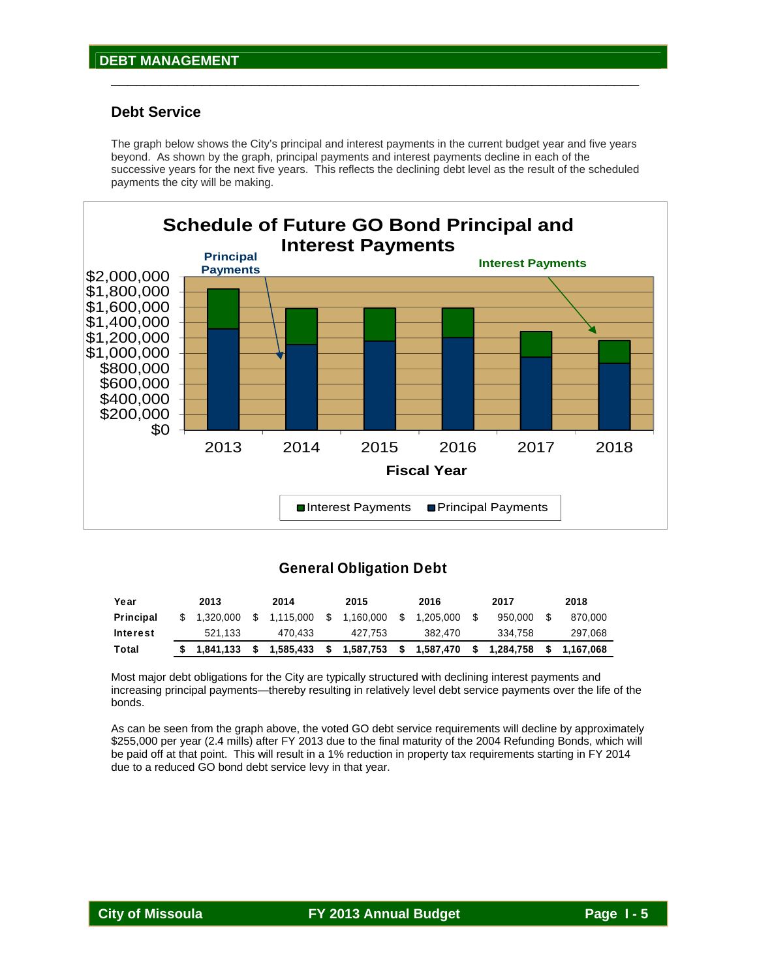#### **Debt Service**

The graph below shows the City's principal and interest payments in the current budget year and five years beyond. As shown by the graph, principal payments and interest payments decline in each of the successive years for the next five years. This reflects the declining debt level as the result of the scheduled payments the city will be making.

\_\_\_\_\_\_\_\_\_\_\_\_\_\_\_\_\_\_\_\_\_\_\_\_\_\_\_\_\_\_\_\_\_\_\_\_\_\_\_\_\_\_\_\_\_\_\_\_\_\_\_\_\_\_\_\_\_\_\_\_\_\_\_\_



#### **General Obligation Debt**

| Year      | 2013         | 2014        |      | 2015      |    | 2016      |     | 2017      | 2018        |
|-----------|--------------|-------------|------|-----------|----|-----------|-----|-----------|-------------|
| Principal | \$ 1.320.000 | \$1.115.000 | - S  | 1.160.000 | S. | 1.205.000 |     | 950.000   | 870.000     |
| Interest  | 521.133      | 470.433     |      | 427.753   |    | 382.470   |     | 334.758   | 297,068     |
| Total     | \$1.841.133  | 1,585,433   | - SI | 1,587,753 | s. | 1,587,470 | - S | 1.284.758 | \$1.167.068 |

Most major debt obligations for the City are typically structured with declining interest payments and increasing principal payments—thereby resulting in relatively level debt service payments over the life of the bonds.

As can be seen from the graph above, the voted GO debt service requirements will decline by approximately \$255,000 per year (2.4 mills) after FY 2013 due to the final maturity of the 2004 Refunding Bonds, which will be paid off at that point. This will result in a 1% reduction in property tax requirements starting in FY 2014 due to a reduced GO bond debt service levy in that year.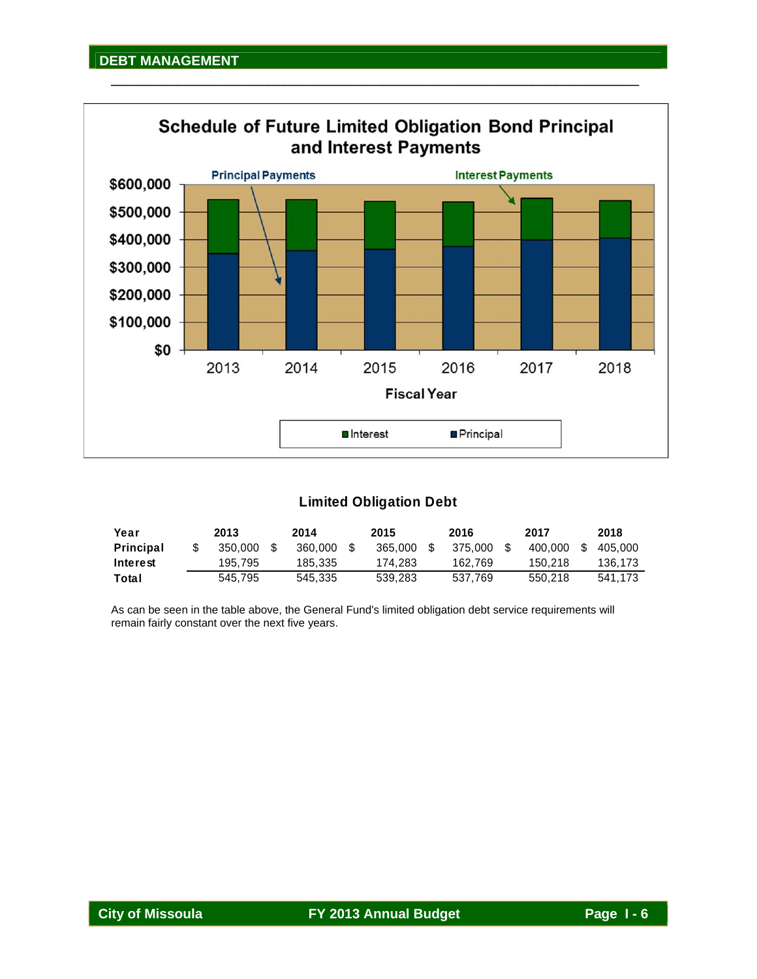

\_\_\_\_\_\_\_\_\_\_\_\_\_\_\_\_\_\_\_\_\_\_\_\_\_\_\_\_\_\_\_\_\_\_\_\_\_\_\_\_\_\_\_\_\_\_\_\_\_\_\_\_\_\_\_\_\_\_\_\_\_\_\_\_

## **Limited Obligation Debt**

| Year      | 2013    | 2014    | 2015    | 2016    | 2017    |      | 2018    |
|-----------|---------|---------|---------|---------|---------|------|---------|
| Principal | 350.000 | 360,000 | 365,000 | 375,000 | 400.000 | - \$ | 405.000 |
| Interest  | 195.795 | 185.335 | 174.283 | 162.769 | 150.218 |      | 136.173 |
| Total     | 545.795 | 545.335 | 539.283 | 537.769 | 550.218 |      | 541.173 |

As can be seen in the table above, the General Fund's limited obligation debt service requirements will remain fairly constant over the next five years.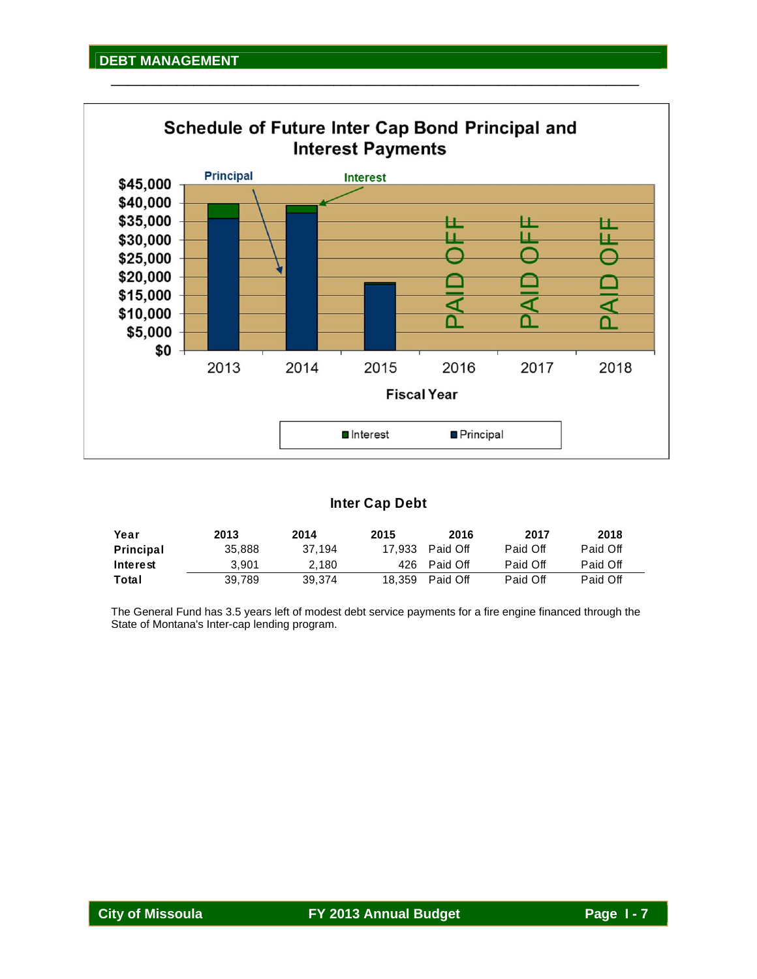

\_\_\_\_\_\_\_\_\_\_\_\_\_\_\_\_\_\_\_\_\_\_\_\_\_\_\_\_\_\_\_\_\_\_\_\_\_\_\_\_\_\_\_\_\_\_\_\_\_\_\_\_\_\_\_\_\_\_\_\_\_\_\_\_

## **Inter Cap Debt**

| Year      | 2013   | 2014   | 2015 | 2016            | 2017     | 2018     |
|-----------|--------|--------|------|-----------------|----------|----------|
| Principal | 35,888 | 37.194 |      | 17.933 Paid Off | Paid Off | Paid Off |
| Interest  | 3.901  | 2.180  |      | 426 Paid Off    | Paid Off | Paid Off |
| Total     | 39.789 | 39.374 |      | 18,359 Paid Off | Paid Off | Paid Off |

The General Fund has 3.5 years left of modest debt service payments for a fire engine financed through the State of Montana's Inter-cap lending program.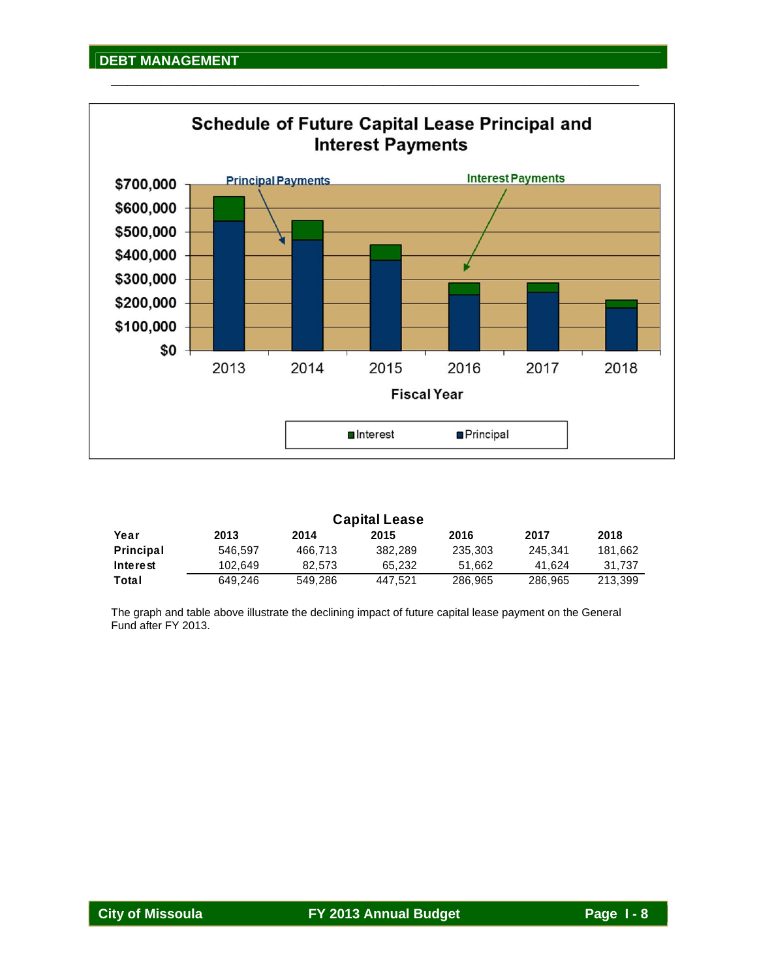

| <b>Capital Lease</b> |         |         |         |         |         |         |  |  |  |  |
|----------------------|---------|---------|---------|---------|---------|---------|--|--|--|--|
| Year                 | 2013    | 2014    | 2015    | 2016    | 2017    | 2018    |  |  |  |  |
| Principal            | 546.597 | 466.713 | 382.289 | 235,303 | 245.341 | 181.662 |  |  |  |  |
| Interest             | 102.649 | 82.573  | 65.232  | 51.662  | 41.624  | 31.737  |  |  |  |  |
| Total                | 649.246 | 549.286 | 447.521 | 286,965 | 286,965 | 213.399 |  |  |  |  |

The graph and table above illustrate the declining impact of future capital lease payment on the General Fund after FY 2013.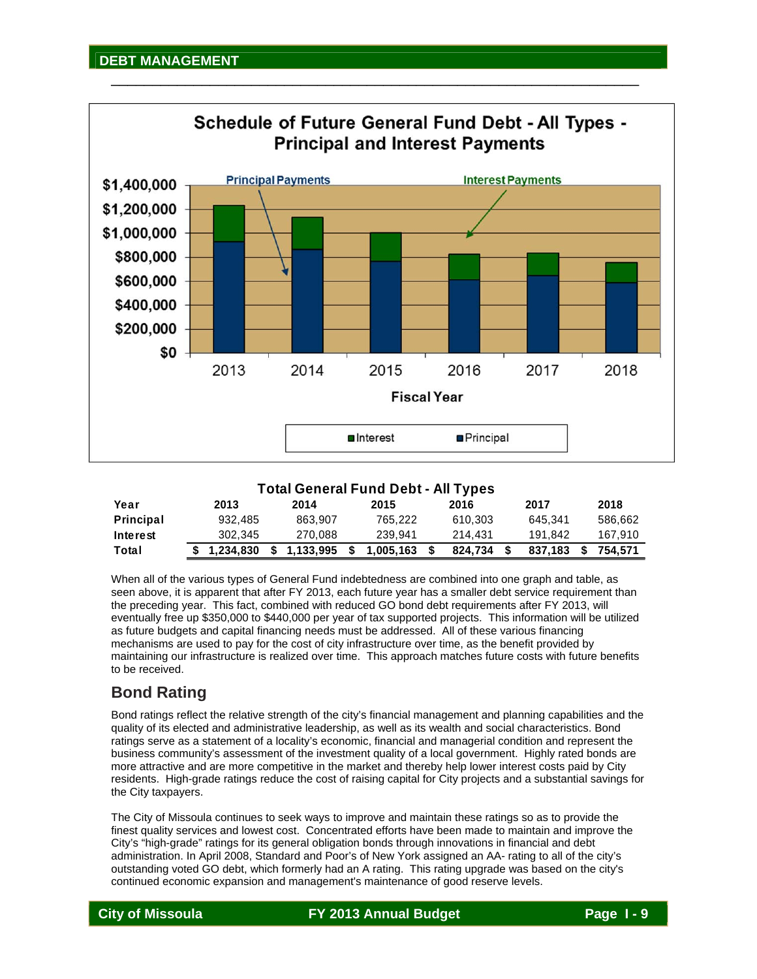

\_\_\_\_\_\_\_\_\_\_\_\_\_\_\_\_\_\_\_\_\_\_\_\_\_\_\_\_\_\_\_\_\_\_\_\_\_\_\_\_\_\_\_\_\_\_\_\_\_\_\_\_\_\_\_\_\_\_\_\_\_\_\_\_

## **Total General Fund Debt - All Types**

| Year             | 2013        | 2014      | 2015      | 2016    | 2017    |      | 2018    |
|------------------|-------------|-----------|-----------|---------|---------|------|---------|
| <b>Principal</b> | 932.485     | 863.907   | 765.222   | 610.303 | 645.341 |      | 586.662 |
| Interest         | 302.345     | 270.088   | 239.941   | 214.431 | 191.842 |      | 167.910 |
| Total            | \$1,234,830 | 1,133,995 | 1.005.163 | 824.734 | 837.183 | - \$ | 754.571 |

When all of the various types of General Fund indebtedness are combined into one graph and table, as seen above, it is apparent that after FY 2013, each future year has a smaller debt service requirement than the preceding year. This fact, combined with reduced GO bond debt requirements after FY 2013, will eventually free up \$350,000 to \$440,000 per year of tax supported projects. This information will be utilized as future budgets and capital financing needs must be addressed. All of these various financing mechanisms are used to pay for the cost of city infrastructure over time, as the benefit provided by maintaining our infrastructure is realized over time. This approach matches future costs with future benefits to be received.

## **Bond Rating**

Bond ratings reflect the relative strength of the city's financial management and planning capabilities and the quality of its elected and administrative leadership, as well as its wealth and social characteristics. Bond ratings serve as a statement of a locality's economic, financial and managerial condition and represent the business community's assessment of the investment quality of a local government. Highly rated bonds are more attractive and are more competitive in the market and thereby help lower interest costs paid by City residents. High-grade ratings reduce the cost of raising capital for City projects and a substantial savings for the City taxpayers.

The City of Missoula continues to seek ways to improve and maintain these ratings so as to provide the finest quality services and lowest cost. Concentrated efforts have been made to maintain and improve the City's "high-grade" ratings for its general obligation bonds through innovations in financial and debt administration. In April 2008, Standard and Poor's of New York assigned an AA- rating to all of the city's outstanding voted GO debt, which formerly had an A rating. This rating upgrade was based on the city's continued economic expansion and management's maintenance of good reserve levels.

**City of Missoula FY 2013 Annual Budget Page I - 9**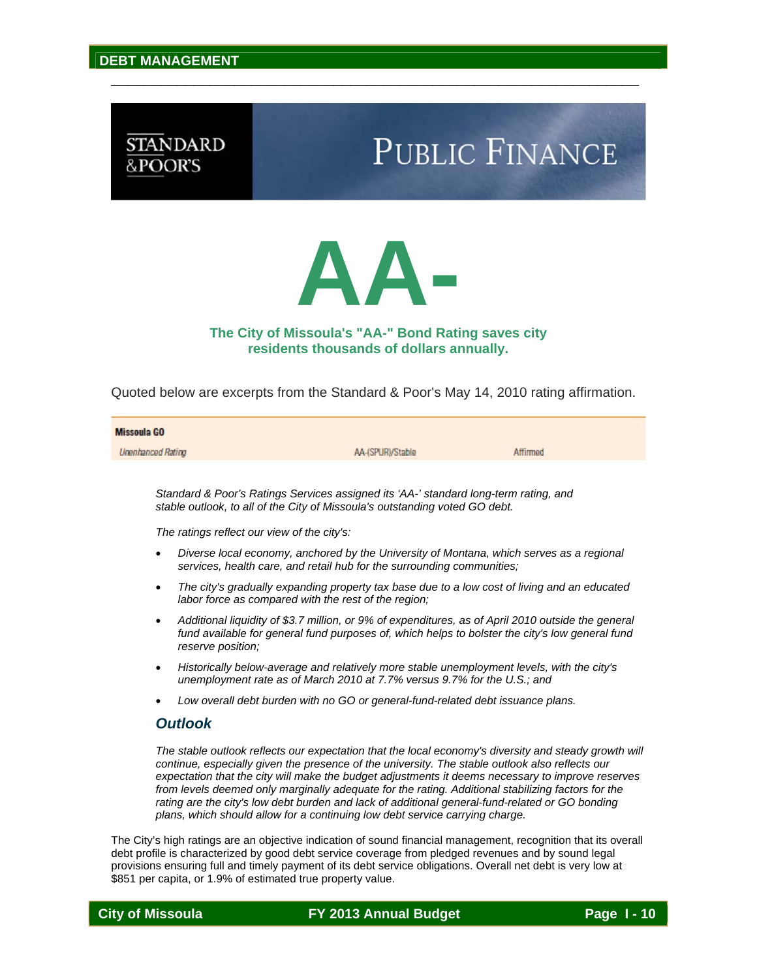## **STANDARD** &POOR'S

# **PUBLIC FINANCE**



\_\_\_\_\_\_\_\_\_\_\_\_\_\_\_\_\_\_\_\_\_\_\_\_\_\_\_\_\_\_\_\_\_\_\_\_\_\_\_\_\_\_\_\_\_\_\_\_\_\_\_\_\_\_\_\_\_\_\_\_\_\_\_\_

### **The City of Missoula's "AA-" Bond Rating saves city residents thousands of dollars annually.**

Quoted below are excerpts from the Standard & Poor's May 14, 2010 rating affirmation.

| <b>Missoula GO</b> |                  |          |
|--------------------|------------------|----------|
| Unenhanced Rating  | AA-(SPUR)/Stable | Affirmed |

*Standard & Poor's Ratings Services assigned its 'AA-' standard long-term rating, and stable outlook, to all of the City of Missoula's outstanding voted GO debt.* 

*The ratings reflect our view of the city's:* 

- *Diverse local economy, anchored by the University of Montana, which serves as a regional services, health care, and retail hub for the surrounding communities;*
- *The city's gradually expanding property tax base due to a low cost of living and an educated labor force as compared with the rest of the region;*
- *Additional liquidity of \$3.7 million, or 9% of expenditures, as of April 2010 outside the general*  fund available for general fund purposes of, which helps to bolster the city's low general fund *reserve position;*
- *Historically below-average and relatively more stable unemployment levels, with the city's unemployment rate as of March 2010 at 7.7% versus 9.7% for the U.S.; and*
- *Low overall debt burden with no GO or general-fund-related debt issuance plans.*

#### *Outlook*

*The stable outlook reflects our expectation that the local economy's diversity and steady growth will continue, especially given the presence of the university. The stable outlook also reflects our expectation that the city will make the budget adjustments it deems necessary to improve reserves from levels deemed only marginally adequate for the rating. Additional stabilizing factors for the*  rating are the city's low debt burden and lack of additional general-fund-related or GO bonding *plans, which should allow for a continuing low debt service carrying charge.* 

The City's high ratings are an objective indication of sound financial management, recognition that its overall debt profile is characterized by good debt service coverage from pledged revenues and by sound legal provisions ensuring full and timely payment of its debt service obligations. Overall net debt is very low at \$851 per capita, or 1.9% of estimated true property value.

**City of Missoula City of Missoula** FY 2013 Annual Budget Page 1-10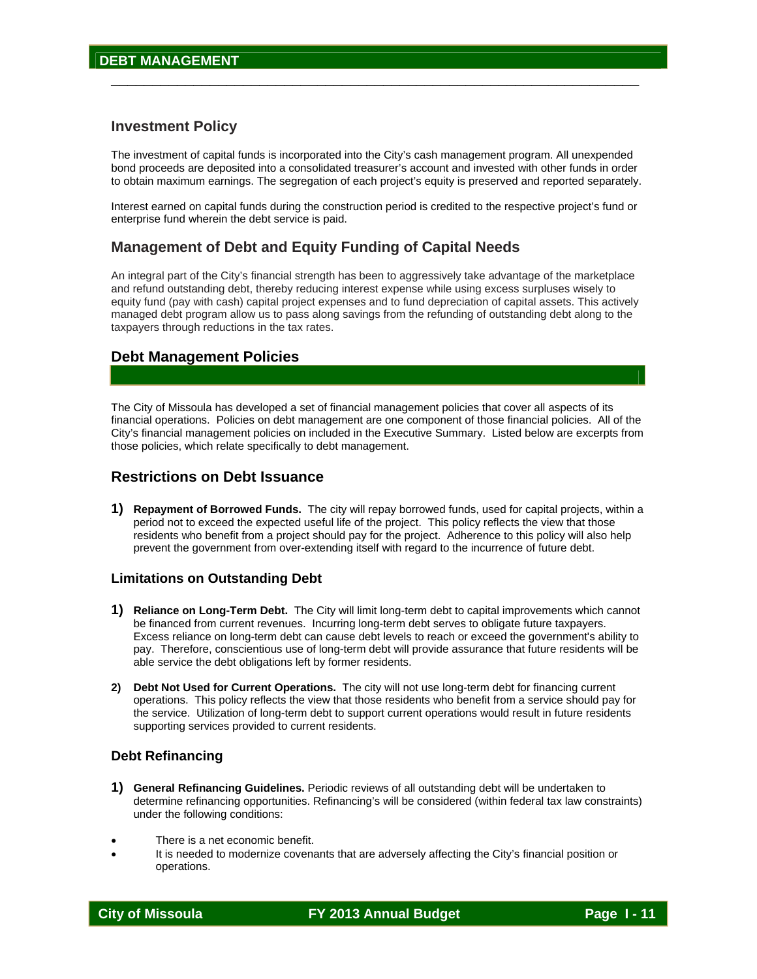#### **Investment Policy**

The investment of capital funds is incorporated into the City's cash management program. All unexpended bond proceeds are deposited into a consolidated treasurer's account and invested with other funds in order to obtain maximum earnings. The segregation of each project's equity is preserved and reported separately.

\_\_\_\_\_\_\_\_\_\_\_\_\_\_\_\_\_\_\_\_\_\_\_\_\_\_\_\_\_\_\_\_\_\_\_\_\_\_\_\_\_\_\_\_\_\_\_\_\_\_\_\_\_\_\_\_\_\_\_\_\_\_\_\_

Interest earned on capital funds during the construction period is credited to the respective project's fund or enterprise fund wherein the debt service is paid.

#### **Management of Debt and Equity Funding of Capital Needs**

An integral part of the City's financial strength has been to aggressively take advantage of the marketplace and refund outstanding debt, thereby reducing interest expense while using excess surpluses wisely to equity fund (pay with cash) capital project expenses and to fund depreciation of capital assets. This actively managed debt program allow us to pass along savings from the refunding of outstanding debt along to the taxpayers through reductions in the tax rates.

#### **Debt Management Policies**

The City of Missoula has developed a set of financial management policies that cover all aspects of its financial operations. Policies on debt management are one component of those financial policies. All of the City's financial management policies on included in the Executive Summary. Listed below are excerpts from those policies, which relate specifically to debt management.

#### **Restrictions on Debt Issuance**

**1) Repayment of Borrowed Funds.** The city will repay borrowed funds, used for capital projects, within a period not to exceed the expected useful life of the project. This policy reflects the view that those residents who benefit from a project should pay for the project. Adherence to this policy will also help prevent the government from over-extending itself with regard to the incurrence of future debt.

#### **Limitations on Outstanding Debt**

- **1) Reliance on Long-Term Debt.** The City will limit long-term debt to capital improvements which cannot be financed from current revenues. Incurring long-term debt serves to obligate future taxpayers. Excess reliance on long-term debt can cause debt levels to reach or exceed the government's ability to pay. Therefore, conscientious use of long-term debt will provide assurance that future residents will be able service the debt obligations left by former residents.
- **2) Debt Not Used for Current Operations.** The city will not use long-term debt for financing current operations. This policy reflects the view that those residents who benefit from a service should pay for the service. Utilization of long-term debt to support current operations would result in future residents supporting services provided to current residents.

#### **Debt Refinancing**

- **1) General Refinancing Guidelines.** Periodic reviews of all outstanding debt will be undertaken to determine refinancing opportunities. Refinancing's will be considered (within federal tax law constraints) under the following conditions:
- There is a net economic benefit.
- It is needed to modernize covenants that are adversely affecting the City's financial position or operations.